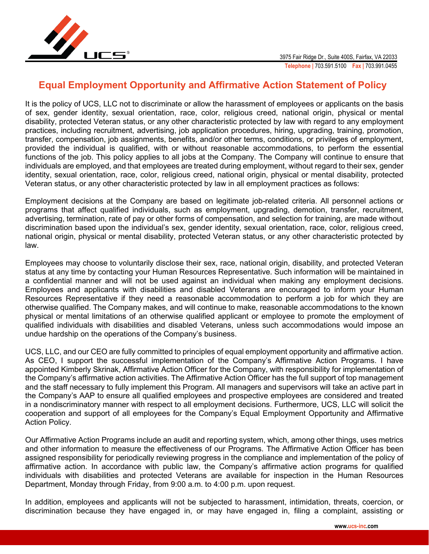

## **Equal Employment Opportunity and Affirmative Action Statement of Policy**

It is the policy of UCS, LLC not to discriminate or allow the harassment of employees or applicants on the basis of sex, gender identity, sexual orientation, race, color, religious creed, national origin, physical or mental disability, protected Veteran status, or any other characteristic protected by law with regard to any employment practices, including recruitment, advertising, job application procedures, hiring, upgrading, training, promotion, transfer, compensation, job assignments, benefits, and/or other terms, conditions, or privileges of employment, provided the individual is qualified, with or without reasonable accommodations, to perform the essential functions of the job. This policy applies to all jobs at the Company. The Company will continue to ensure that individuals are employed, and that employees are treated during employment, without regard to their sex, gender identity, sexual orientation, race, color, religious creed, national origin, physical or mental disability, protected Veteran status, or any other characteristic protected by law in all employment practices as follows:

Employment decisions at the Company are based on legitimate job-related criteria. All personnel actions or programs that affect qualified individuals, such as employment, upgrading, demotion, transfer, recruitment, advertising, termination, rate of pay or other forms of compensation, and selection for training, are made without discrimination based upon the individual's sex, gender identity, sexual orientation, race, color, religious creed, national origin, physical or mental disability, protected Veteran status, or any other characteristic protected by law.

Employees may choose to voluntarily disclose their sex, race, national origin, disability, and protected Veteran status at any time by contacting your Human Resources Representative. Such information will be maintained in a confidential manner and will not be used against an individual when making any employment decisions. Employees and applicants with disabilities and disabled Veterans are encouraged to inform your Human Resources Representative if they need a reasonable accommodation to perform a job for which they are otherwise qualified. The Company makes, and will continue to make, reasonable accommodations to the known physical or mental limitations of an otherwise qualified applicant or employee to promote the employment of qualified individuals with disabilities and disabled Veterans, unless such accommodations would impose an undue hardship on the operations of the Company's business.

UCS, LLC, and our CEO are fully committed to principles of equal employment opportunity and affirmative action. As CEO, I support the successful implementation of the Company's Affirmative Action Programs. I have appointed Kimberly Skrinak, Affirmative Action Officer for the Company, with responsibility for implementation of the Company's affirmative action activities. The Affirmative Action Officer has the full support of top management and the staff necessary to fully implement this Program. All managers and supervisors will take an active part in the Company's AAP to ensure all qualified employees and prospective employees are considered and treated in a nondiscriminatory manner with respect to all employment decisions. Furthermore, UCS, LLC will solicit the cooperation and support of all employees for the Company's Equal Employment Opportunity and Affirmative Action Policy.

Our Affirmative Action Programs include an audit and reporting system, which, among other things, uses metrics and other information to measure the effectiveness of our Programs. The Affirmative Action Officer has been assigned responsibility for periodically reviewing progress in the compliance and implementation of the policy of affirmative action. In accordance with public law, the Company's affirmative action programs for qualified individuals with disabilities and protected Veterans are available for inspection in the Human Resources Department, Monday through Friday, from 9:00 a.m. to 4:00 p.m. upon request.

In addition, employees and applicants will not be subjected to harassment, intimidation, threats, coercion, or discrimination because they have engaged in, or may have engaged in, filing a complaint, assisting or